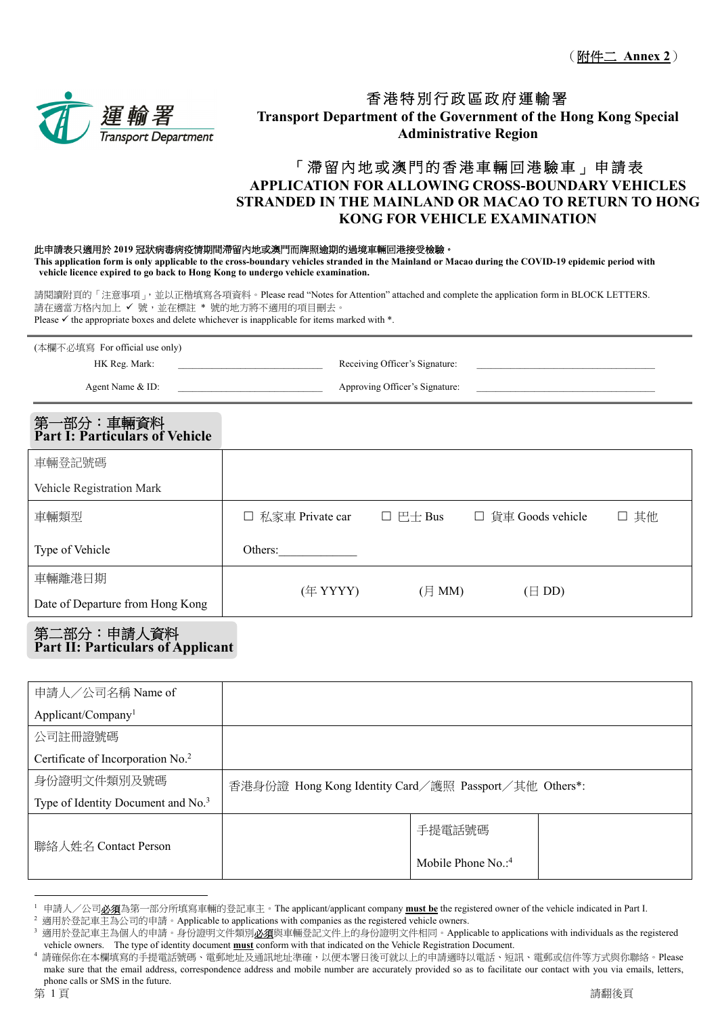

# 香港特別行政區政府運輸署 **Transport Department of the Government of the Hong Kong Special Administrative Region**

# 「滯留內地或澳門的香港車輛回港驗車」申請表 **APPLICATION FOR ALLOWING CROSS-BOUNDARY VEHICLES STRANDED IN THE MAINLAND OR MACAO TO RETURN TO HONG KONG FOR VEHICLE EXAMINATION**

#### 此申請表只適用於 **2019** 冠狀病毒病疫情期間滯留內地或澳門而牌照逾期的過境車輛回港接受檢驗。

**This application form is only applicable to the cross-boundary vehicles stranded in the Mainland or Macao during the COVID-19 epidemic period with vehicle licence expired to go back to Hong Kong to undergo vehicle examination.** 

請閱讀附頁的「注意事項」,並以正楷填寫各項資料。Please read "Notes for Attention" attached and complete the application form in BLOCK LETTERS. 請在適當方格內加上 ✔ 號,並在標註 \* 號的地方將不適用的項目刪去。 Please  $\checkmark$  the appropriate boxes and delete whichever is inapplicable for items marked with  $*$ .

| (本欄不必填寫 For official use only) |                                |  |
|--------------------------------|--------------------------------|--|
| HK Reg. Mark:                  | Receiving Officer's Signature: |  |
| Agent Name & ID:               | Approving Officer's Signature: |  |

#### 第一部分:車輛資料 **Part I: Particulars of Vehicle**

| 車輛登記號碼                           |                   |                          |                    |      |
|----------------------------------|-------------------|--------------------------|--------------------|------|
| Vehicle Registration Mark        |                   |                          |                    |      |
| 車輛類型                             | □ 私家車 Private car | $\Box$ $\Box$ $\Box$ Bus | □ 貨車 Goods vehicle | □ 其他 |
| Type of Vehicle                  | Others:           |                          |                    |      |
| 車輛離港日期                           | (年 YYYY)          | $(\bar{H}$ MM)           | $(\boxminus$ DD)   |      |
| Date of Departure from Hong Kong |                   |                          |                    |      |

#### 第二部分:申請人資料 **Part II: Particulars of Applicant**

| 申請人/公司名稱 Name of                               |                                                           |                      |  |
|------------------------------------------------|-----------------------------------------------------------|----------------------|--|
| Applicant/Company <sup>1</sup>                 |                                                           |                      |  |
| 公司註冊證號碼                                        |                                                           |                      |  |
| Certificate of Incorporation No. <sup>2</sup>  |                                                           |                      |  |
| 身份證明文件類別及號碼                                    | 香港身份證 Hong Kong Identity Card / 護照 Passport / 其他 Others*: |                      |  |
| Type of Identity Document and No. <sup>3</sup> |                                                           |                      |  |
| 聯絡人姓名 Contact Person                           |                                                           | 手提電話號碼               |  |
|                                                |                                                           | Mobile Phone $No.^4$ |  |

<sup>&</sup>lt;sup>1</sup> 申請人/公司必須為第一部分所填寫車輛的登記車主。The applicant/applicant company must be the registered owner of the vehicle indicated in Part I.

適用於登記車主為公司的申請。Applicable to applications with companies as the registered vehicle owners.<br>適用於登記車主為個人的申請。身份證明文件類別**必須**與車輛登記文件上的身份證明文件相同。Applicable to applications with individuals as the registered vehicle owners. The type of identity document **must** conform with that indicated on the Vehicle Registration Document.

請確保你在本欄填寫的手提電話號碼、電郵地址及通訊地址準確,以便本署日後可就以上的申請適時以電話、短訊、電郵或信件等方式與你聯絡。Please make sure that the email address, correspondence address and mobile number are accurately provided so as to facilitate our contact with you via emails, letters, phone calls or SMS in the future.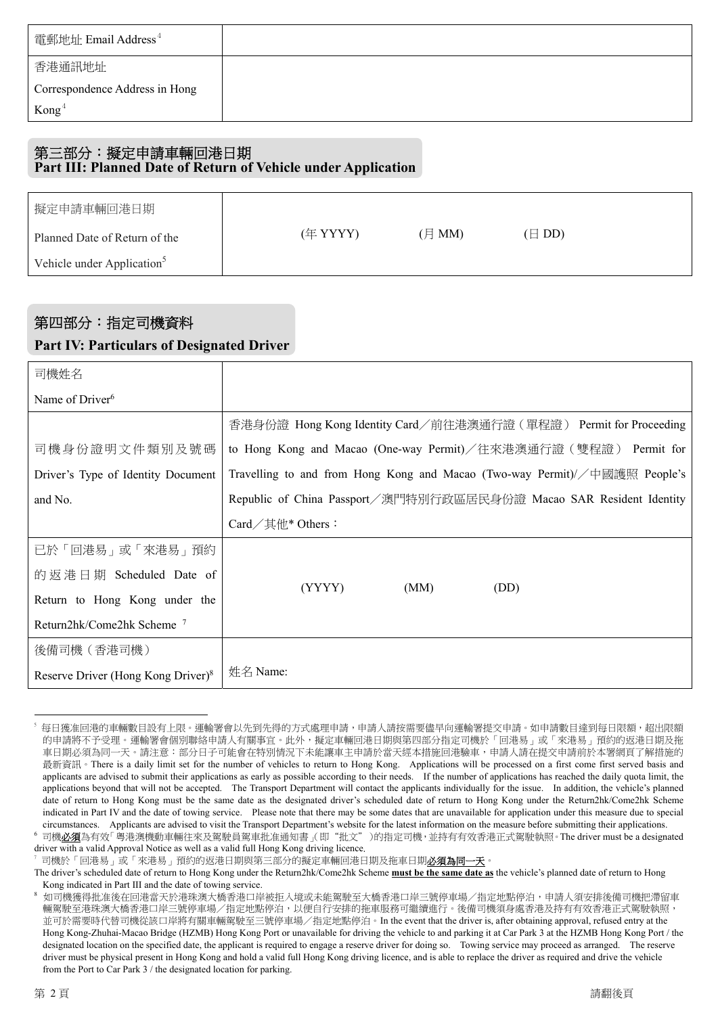| 電郵地址 Email Address $^4$        |  |
|--------------------------------|--|
| 香港通訊地址                         |  |
| Correspondence Address in Hong |  |
| $\text{Kong}^4$                |  |

#### 第三部分:擬定申請車輛回港日期 **Part III: Planned Date of Return of Vehicle under Application**

| 擬定申請車輛回港日期                             |          |        |                  |  |
|----------------------------------------|----------|--------|------------------|--|
| Planned Date of Return of the          | (年 YYYY) | (月 MM) | $(\boxminus$ DD) |  |
| Vehicle under Application <sup>5</sup> |          |        |                  |  |

# 第四部分:指定司機資料 **Part IV: Particulars of Designated Driver**

| 司機姓名                                           |                                                                            |
|------------------------------------------------|----------------------------------------------------------------------------|
| Name of Driver <sup>6</sup>                    |                                                                            |
|                                                | 香港身份證 Hong Kong Identity Card/前往港澳通行證 ( 單程證 ) Permit for Proceeding        |
| 司機身份證明文件類別及號碼                                  | to Hong Kong and Macao (One-way Permit)/往來港澳通行證 (雙程證) Permit for           |
| Driver's Type of Identity Document             | Travelling to and from Hong Kong and Macao (Two-way Permit)//中國護照 People's |
| and No.                                        | Republic of China Passport/澳門特別行政區居民身份證 Macao SAR Resident Identity        |
|                                                | Card $\angle \nexists$ thethers :                                          |
| 已於「回港易」或「來港易」預約                                |                                                                            |
| 的返港日期 Scheduled Date of                        |                                                                            |
| Return to Hong Kong under the                  | (MM)<br>(DD)<br>(YYYY)                                                     |
| Return2hk/Come2hk Scheme <sup>7</sup>          |                                                                            |
| 後備司機(香港司機)                                     |                                                                            |
| Reserve Driver (Hong Kong Driver) <sup>8</sup> | 姓名 Name:                                                                   |

 $\overline{a}$ 5 每日獲准回港的車輛數目設有上限。運輸署會以先到先得的方式處理申請,申請人請按需要儘早向運輸署提交申請。如申請數目達到每日限額,超出限額 的申請將不予受理。運輸署會個別聯絡申請人有關事宜。此外,擬定車輛回港日期與第四部分指定司機於「回港易」或「來港易」預約的返港日期及拖 車日期必須為同一天。請注意:部分日子可能會在特別情況下未能讓車主申請於當天經本措施回港驗車,申請人請在提交申請前於本署網頁了解措施的 最新資訊。There is a daily limit set for the number of vehicles to return to Hong Kong. Applications will be processed on a first come first served basis and applicants are advised to submit their applications as early as possible according to their needs. If the number of applications has reached the daily quota limit, the applications beyond that will not be accepted. The Transport Department will contact the applicants individually for the issue. In addition, the vehicle's planned date of return to Hong Kong must be the same date as the designated driver's scheduled date of return to Hong Kong under the Return2hk/Come2hk Scheme indicated in Part IV and the date of towing service. Please note that there may be some dates that are unavailable for application under this measure due to special circumstances. Applicants are advised to visit the Transport Department's website for the latest information on the measure before submitting their applications.

司機必須為有效「粵港澳機動車輛往來及駕駛員駕車批准通知書」(即"批文")的指定司機,並持有有效香港正式駕駛執照。The driver must be a designated driver with a valid Approval Notice as well as a valid full Hong Kong driving licence.

司機於「回港易」或「來港易」預約的返港日期與第三部分的擬定車輛回港日期及拖車日期<mark>必須為同一天</mark>。

The driver's scheduled date of return to Hong Kong under the Return2hk/Come2hk Scheme **must be the same date as** the vehicle's planned date of return to Hong Kong indicated in Part III and the date of towing service.<br>如司機獲得批准後在回港當天於港珠澳大橋香港口岸被拒入境或未能駕駛至大橋香港口岸三號停車場/指定地點停泊,申請人須安排後備司機把滯留車

輛駕駛至港珠澳大橋香港口岸三號停車場/指定地點停泊,以便自行安排的拖車服務可繼續進行。後備司機須身處香港及持有有效香港正式駕駛執照, 並可於需要時代替司機從該口岸將有關車輛駕駛至三號停車場/指定地點停泊。In the event that the driver is, after obtaining approval, refused entry at the Hong Kong-Zhuhai-Macao Bridge (HZMB) Hong Kong Port or unavailable for driving the vehicle to and parking it at Car Park 3 at the HZMB Hong Kong Port / the designated location on the specified date, the applicant is required to engage a reserve driver for doing so. Towing service may proceed as arranged. The reserve driver must be physical present in Hong Kong and hold a valid full Hong Kong driving licence, and is able to replace the driver as required and drive the vehicle from the Port to Car Park 3 / the designated location for parking.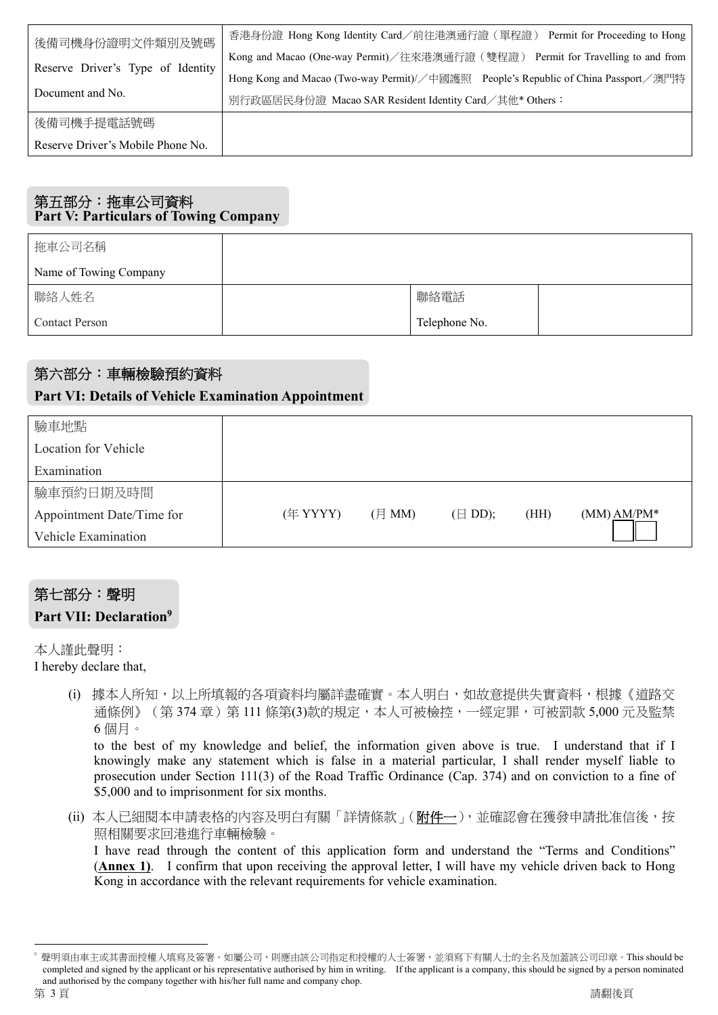| 後備司機身份證明文件類別及號碼<br>Reserve Driver's Type of Identity | 香港身份證 Hong Kong Identity Card/前往港澳通行證 (單程證) Permit for Proceeding to Hong          |
|------------------------------------------------------|------------------------------------------------------------------------------------|
|                                                      | Kong and Macao (One-way Permit)/往來港澳通行證(雙程證) Permit for Travelling to and from     |
|                                                      | Hong Kong and Macao (Two-way Permit)//中國護照 People's Republic of China Passport/澳門特 |
| Document and No.                                     | 別行政區居民身份證 Macao SAR Resident Identity Card/其他* Others:                             |
| 後備司機手提電話號碼                                           |                                                                                    |
| Reserve Driver's Mobile Phone No.                    |                                                                                    |

# 第五部分:拖車公司資料 **Part V: Particulars of Towing Company**

| 拖車公司名稱                 |               |  |
|------------------------|---------------|--|
| Name of Towing Company |               |  |
| 聯絡人姓名                  | 聯絡電話          |  |
| <b>Contact Person</b>  | Telephone No. |  |

# 第六部分:車輛檢驗預約資料

# **Part VI: Details of Vehicle Examination Appointment**

| 驗車地點                      |          |              |                   |      |               |
|---------------------------|----------|--------------|-------------------|------|---------------|
| Location for Vehicle      |          |              |                   |      |               |
| Examination               |          |              |                   |      |               |
| 驗車預約日期及時間                 |          |              |                   |      |               |
| Appointment Date/Time for | (年 YYYY) | $($ 月 MM $)$ | $(\boxminus$ DD); | (HH) | $(MM) AM/PM*$ |
| Vehicle Examination       |          |              |                   |      |               |

# 第七部分:聲明

# **Part VII: Declaration9**

本人謹此聲明:

- I hereby declare that,
	- (i) 據本人所知,以上所填報的各項資料均屬詳盡確實。本人明白,如故意提供失實資料,根據《道路交 通條例》(第 374 章)第 111 條第(3)款的規定,本人可被檢控,一經定罪,可被罰款 5,000 元及監禁 6 個月。

to the best of my knowledge and belief, the information given above is true. I understand that if I knowingly make any statement which is false in a material particular, I shall render myself liable to prosecution under Section 111(3) of the Road Traffic Ordinance (Cap. 374) and on conviction to a fine of \$5,000 and to imprisonment for six months.

(ii) 本人已細閱本申請表格的內容及明白有關「詳情條款」(附件一),並確認會在獲發申請批准信後,按 照相關要求回港進行車輛檢驗。

I have read through the content of this application form and understand the "Terms and Conditions" (**Annex 1)**. I confirm that upon receiving the approval letter, I will have my vehicle driven back to Hong Kong in accordance with the relevant requirements for vehicle examination.

 $\overline{a}$ 

<sup>9</sup> 聲明須由車主或其書面授權人填寫及簽署。如屬公司,則應由該公司指定和授權的人士簽署,並須寫下有關人士的全名及加蓋該公司印章。This should be completed and signed by the applicant or his representative authorised by him in writing. If the applicant is a company, this should be signed by a person nominated and authorised by the company together with his/her full name and company chop.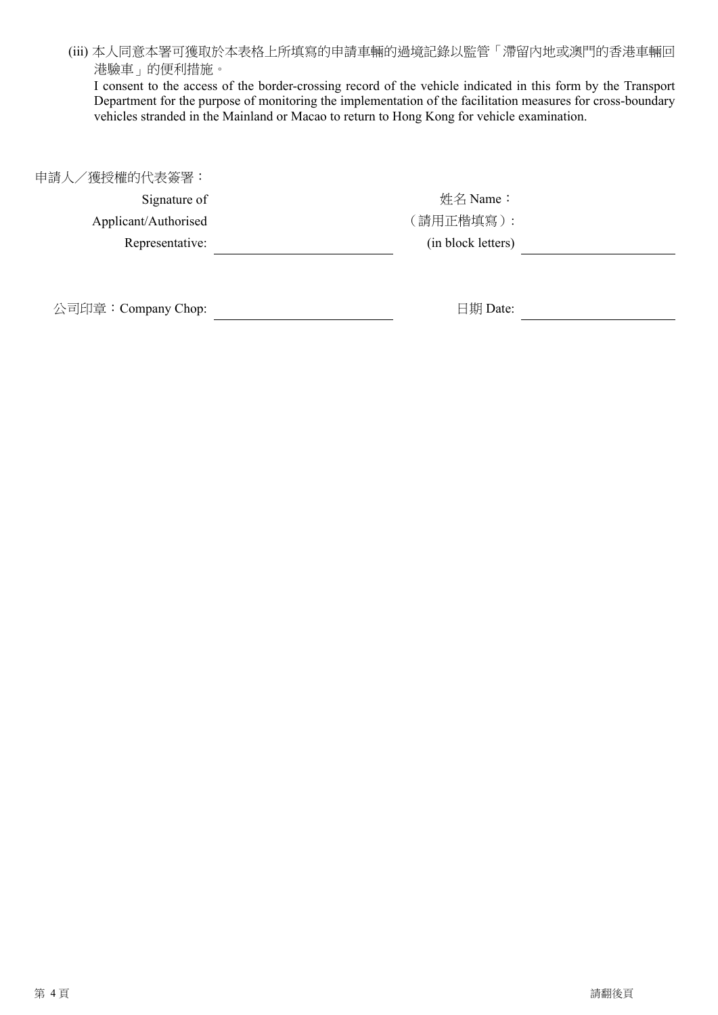(iii) 本人同意本署可獲取於本表格上所填寫的申請車輛的過境記錄以監管「滯留內地或澳門的香港車輛回 港驗車」的便利措施。

I consent to the access of the border-crossing record of the vehicle indicated in this form by the Transport Department for the purpose of monitoring the implementation of the facilitation measures for cross-boundary vehicles stranded in the Mainland or Macao to return to Hong Kong for vehicle examination.

申請人/獲授權的代表簽署:

Signature of Applicant/Authorised Representative: 

姓名 Name: (請用正楷填寫): (in block letters)

公司印章:Company Chop: 日期 Date:

<u> 1989 - Johann Barbara, martx</u>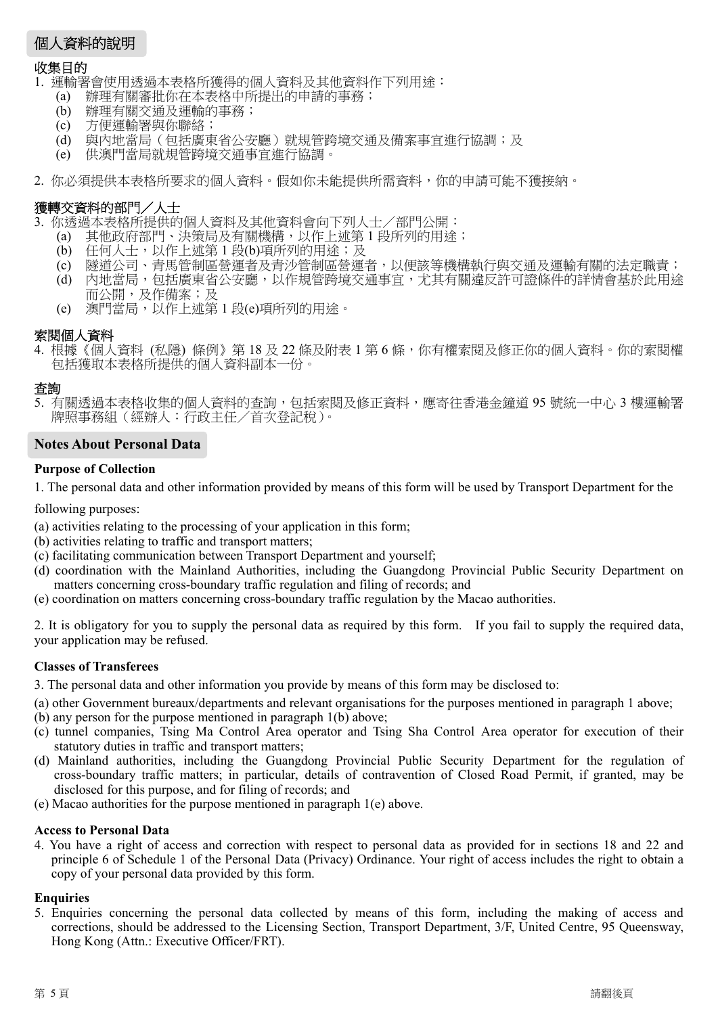# 個人資料的說明

#### 收集目的

- 1. 運輸署會使用透過本表格所獲得的個人資料及其他資料作下列用途:
	- (a) 辦理有關審批你在本表格中所提出的申請的事務;
	- (b) 辦理有關交通及運輸的事務;
	- (c) 方便運輸署與你聯絡;
	- (d) 與內地當局(包括廣東省公安廳)就規管跨境交通及備案事宜進行協調;及
	- (e) 供澳門當局就規管跨境交通事宜進行協調。
- 2. 你必須提供本表格所要求的個人資料。假如你未能提供所需資料,你的申請可能不獲接納。

### 獲轉交資料的部門/人士

- 3. 你透過本表格所提供的個人資料及其他資料會向下列人士/部門公開:
	- (a) 其他政府部門、決策局及有關機構,以作上述第 1 段所列的用途;
	- (b) 任何人士,以作上述第1段(b)項所列的用途;及
	- (c) 隧道公司、青馬管制區營運者及青沙管制區營運者,以便該等機構執行與交通及運輸有關的法定職責;
	- (d) 內地當局,包括廣東省公安廳,以作規管跨境交通事宜,尤其有關違反許可證條件的詳情會基於此用途 而公開,及作備案;及
	- (e) 澳門當局,以作上述第 1 段(e)項所列的用途。

#### 索閱個人資料

4. 根據《個人資料 (私隱) 條例》第18及22條及附表1第6條,你有權索閱及修正你的個人資料。你的索閱權 包括獲取本表格所提供的個人資料副本一份。

#### 查詢

5. 有關透過本表格收集的個人資料的查詢,包括索閱及修正資料,應寄往香港金鐘道 95 號統一中心 3 樓運輸署 牌照事務組(經辦人:行政主任/首次登記稅)。

#### **Notes About Personal Data**

#### **Purpose of Collection**

1. The personal data and other information provided by means of this form will be used by Transport Department for the

following purposes:

- (a) activities relating to the processing of your application in this form;
- (b) activities relating to traffic and transport matters;
- (c) facilitating communication between Transport Department and yourself;
- (d) coordination with the Mainland Authorities, including the Guangdong Provincial Public Security Department on matters concerning cross-boundary traffic regulation and filing of records; and
- (e) coordination on matters concerning cross-boundary traffic regulation by the Macao authorities.

2. It is obligatory for you to supply the personal data as required by this form. If you fail to supply the required data, your application may be refused.

#### **Classes of Transferees**

3. The personal data and other information you provide by means of this form may be disclosed to:

- (a) other Government bureaux/departments and relevant organisations for the purposes mentioned in paragraph 1 above;
- (b) any person for the purpose mentioned in paragraph 1(b) above;
- (c) tunnel companies, Tsing Ma Control Area operator and Tsing Sha Control Area operator for execution of their statutory duties in traffic and transport matters;
- (d) Mainland authorities, including the Guangdong Provincial Public Security Department for the regulation of cross-boundary traffic matters; in particular, details of contravention of Closed Road Permit, if granted, may be disclosed for this purpose, and for filing of records; and
- (e) Macao authorities for the purpose mentioned in paragraph 1(e) above.

#### **Access to Personal Data**

4. You have a right of access and correction with respect to personal data as provided for in sections 18 and 22 and principle 6 of Schedule 1 of the Personal Data (Privacy) Ordinance. Your right of access includes the right to obtain a copy of your personal data provided by this form.

#### **Enquiries**

5. Enquiries concerning the personal data collected by means of this form, including the making of access and corrections, should be addressed to the Licensing Section, Transport Department, 3/F, United Centre, 95 Queensway, Hong Kong (Attn.: Executive Officer/FRT).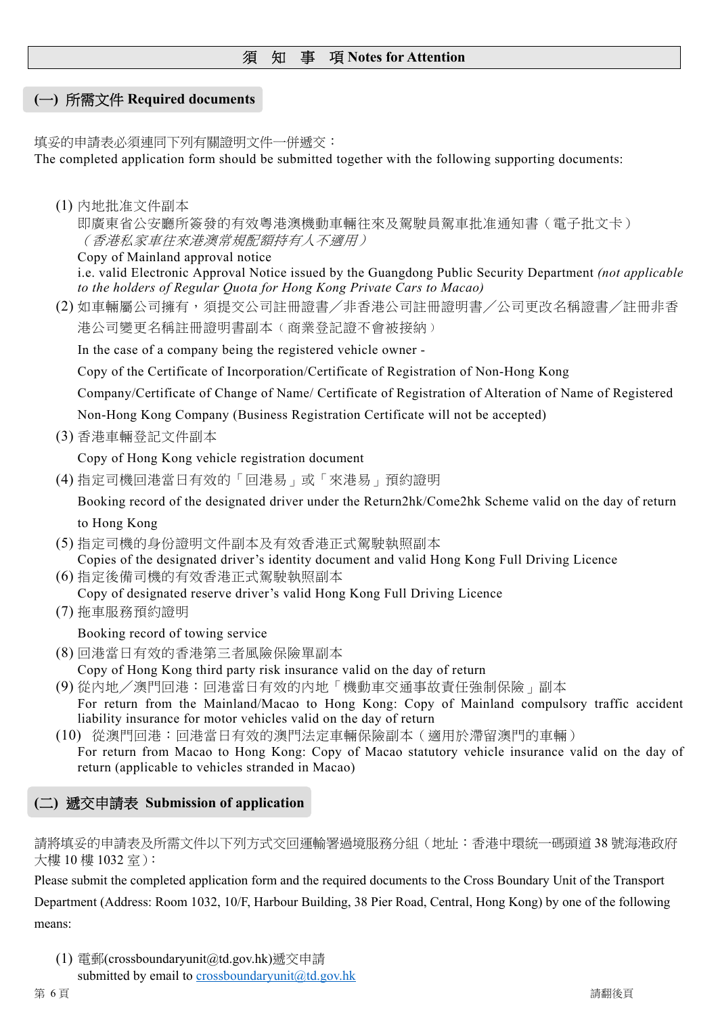# 須知事項 **Notes for Attention**

# **(**一**)** 所需文件 **Required documents**

填妥的申請表必須連同下列有關證明文件一併遞交: The completed application form should be submitted together with the following supporting documents:

(1) 內地批准文件副本

即廣東省公安廳所簽發的有效粵港澳機動車輛往來及駕駛員駕車批准通知書(電子批文卡) (香港私家車往來港澳常規配額持有人不適用)

Copy of Mainland approval notice

i.e. valid Electronic Approval Notice issued by the Guangdong Public Security Department *(not applicable to the holders of Regular Quota for Hong Kong Private Cars to Macao)* 

(2) 如車輛屬公司擁有,須提交公司註冊證書╱非香港公司註冊證明書╱公司更改名稱證書╱註冊非香 港公司變更名稱註冊證明書副本(商業登記證不會被接納)

In the case of a company being the registered vehicle owner -

Copy of the Certificate of Incorporation/Certificate of Registration of Non-Hong Kong

Company/Certificate of Change of Name/ Certificate of Registration of Alteration of Name of Registered

Non-Hong Kong Company (Business Registration Certificate will not be accepted)

(3) 香港車輛登記文件副本

Copy of Hong Kong vehicle registration document

(4) 指定司機回港當日有效的「回港易」或「來港易」預約證明

Booking record of the designated driver under the Return2hk/Come2hk Scheme valid on the day of return to Hong Kong

- (5) 指定司機的身份證明文件副本及有效香港正式駕駛執照副本 Copies of the designated driver's identity document and valid Hong Kong Full Driving Licence
- (6) 指定後備司機的有效香港正式駕駛執照副本

Copy of designated reserve driver's valid Hong Kong Full Driving Licence

(7) 拖車服務預約證明

Booking record of towing service

- (8) 回港當日有效的香港第三者風險保險單副本
- Copy of Hong Kong third party risk insurance valid on the day of return
- (9) 從內地╱澳門回港:回港當日有效的內地「機動車交通事故責任強制保險」副本 For return from the Mainland/Macao to Hong Kong: Copy of Mainland compulsory traffic accident liability insurance for motor vehicles valid on the day of return
- (10) 從澳門回港:回港當日有效的澳門法定車輛保險副本(適用於滯留澳門的車輛) For return from Macao to Hong Kong: Copy of Macao statutory vehicle insurance valid on the day of return (applicable to vehicles stranded in Macao)

# **(**二**)** 遞交申請表 **Submission of application**

請將填妥的申請表及所需文件以下列方式交回運輸署過境服務分組(地址:香港中環統一碼頭道 38 號海港政府 大樓 10 樓 1032 室):

Please submit the completed application form and the required documents to the Cross Boundary Unit of the Transport

Department (Address: Room 1032, 10/F, Harbour Building, 38 Pier Road, Central, Hong Kong) by one of the following means:

(1) 電郵(crossboundaryunit@td.gov.hk)遞交申請 submitted by email to crossboundaryunit@td.gov.hk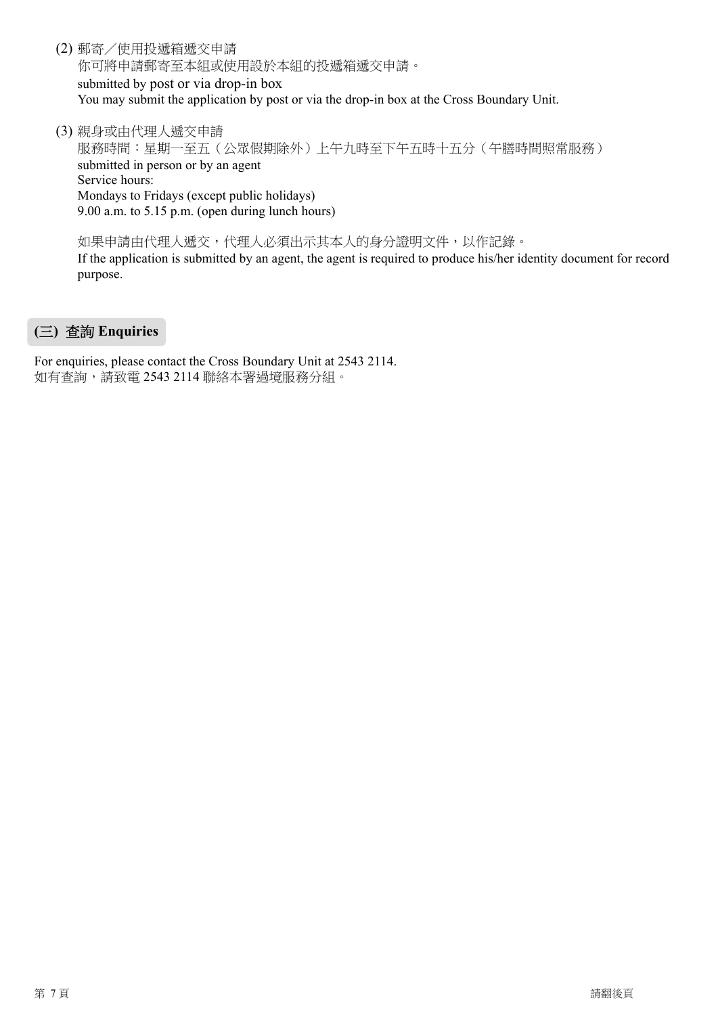(2) 郵寄/使用投遞箱遞交申請

你可將申請郵寄至本組或使用設於本組的投遞箱遞交申請。 submitted by post or via drop-in box You may submit the application by post or via the drop-in box at the Cross Boundary Unit.

(3) 親身或由代理人遞交申請

服務時間:星期一至五(公眾假期除外)上午九時至下午五時十五分(午膳時間照常服務) submitted in person or by an agent Service hours: Mondays to Fridays (except public holidays) 9.00 a.m. to 5.15 p.m. (open during lunch hours)

如果申請由代理人遞交,代理人必須出示其本人的身分證明文件,以作記錄。

If the application is submitted by an agent, the agent is required to produce his/her identity document for record purpose.

# **(**三**)** 查詢 **Enquiries**

For enquiries, please contact the Cross Boundary Unit at 2543 2114. 如有查詢,請致電 2543 2114 聯絡本署過境服務分組。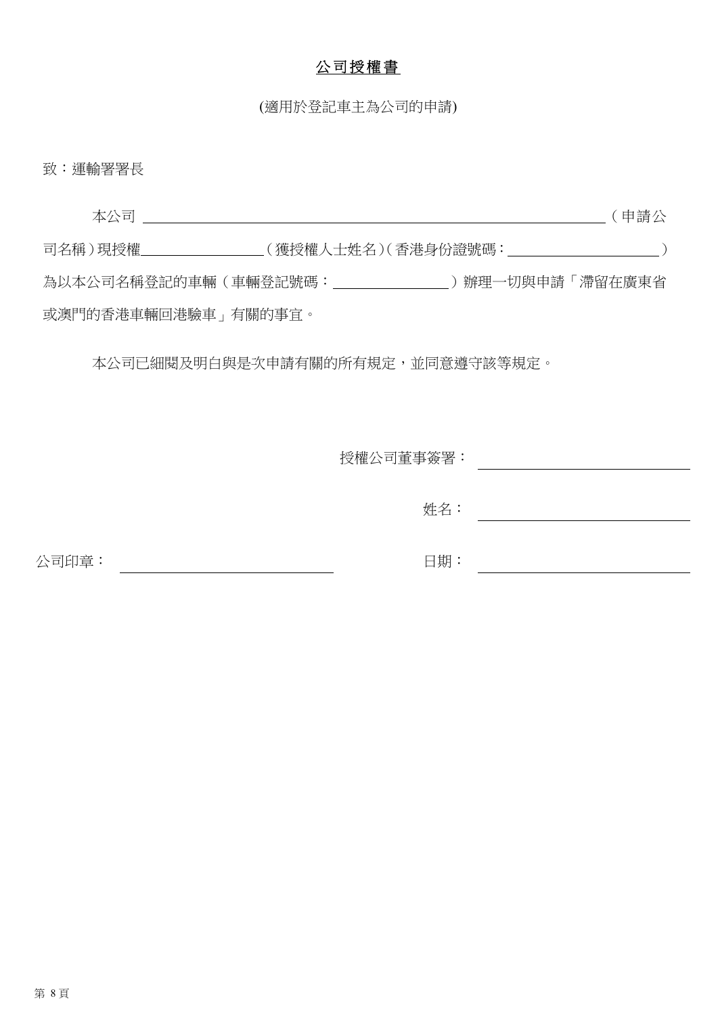# 公司授權書

(適用於登記車主為公司的申請)

致︰運輸署署長

 本公司 (申請公 司名稱) 現授權 (獲授權人士姓名)(香港身份證號碼: ) 為以本公司名稱登記的車輛(車輛登記號碼: \_ \_ \_ \_ \_ \_ \_ )辦理一切與申請「滯留在廣東省 或澳門的香港車輛回港驗車」有關的事宜。

本公司已細閱及明白與是次申請有關的所有規定,並同意遵守該等規定。

授權公司董事簽署:

姓名: <u> 1989 - Johann Barn, mars eta bainar e</u>

<u> 1989 - Johann Barn, mars eta bainar e</u>

公司印章: 2000年10月11日 11:00 11:00 11:00 11:00 11:00 12:00 12:00 12:00 12:00 12:00 12:00 12:00 12:00 12:0

日期:<u> 1980 - Johann Barbara, martxa amerikan p</u>